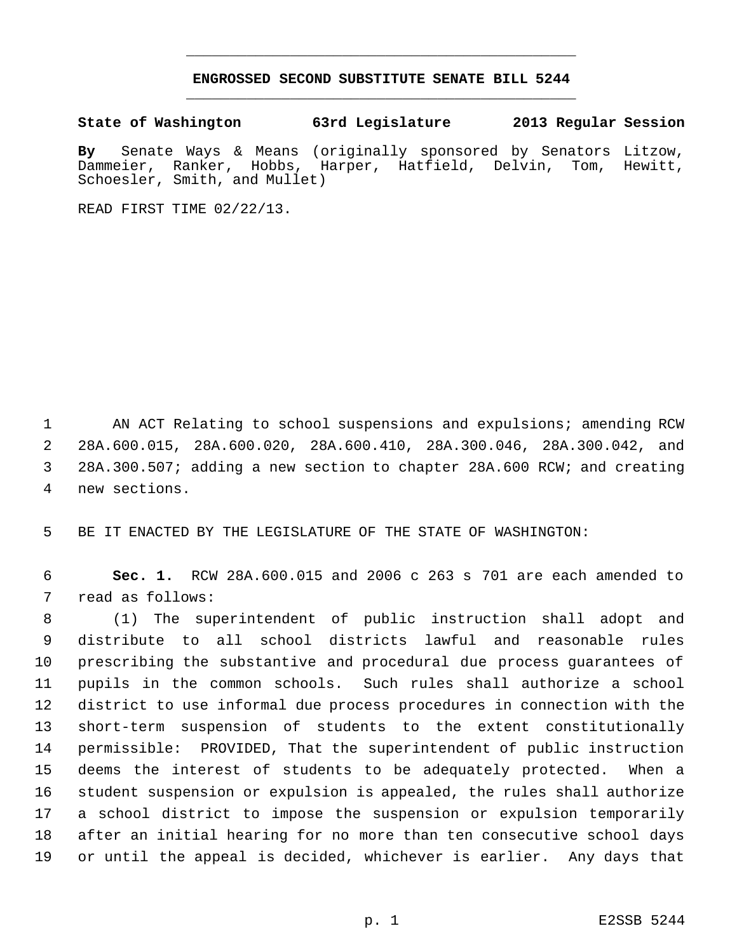## **ENGROSSED SECOND SUBSTITUTE SENATE BILL 5244** \_\_\_\_\_\_\_\_\_\_\_\_\_\_\_\_\_\_\_\_\_\_\_\_\_\_\_\_\_\_\_\_\_\_\_\_\_\_\_\_\_\_\_\_\_

\_\_\_\_\_\_\_\_\_\_\_\_\_\_\_\_\_\_\_\_\_\_\_\_\_\_\_\_\_\_\_\_\_\_\_\_\_\_\_\_\_\_\_\_\_

**State of Washington 63rd Legislature 2013 Regular Session**

**By** Senate Ways & Means (originally sponsored by Senators Litzow, Dammeier, Ranker, Hobbs, Harper, Hatfield, Delvin, Tom, Hewitt, Schoesler, Smith, and Mullet)

READ FIRST TIME 02/22/13.

 AN ACT Relating to school suspensions and expulsions; amending RCW 28A.600.015, 28A.600.020, 28A.600.410, 28A.300.046, 28A.300.042, and 28A.300.507; adding a new section to chapter 28A.600 RCW; and creating new sections.

BE IT ENACTED BY THE LEGISLATURE OF THE STATE OF WASHINGTON:

 **Sec. 1.** RCW 28A.600.015 and 2006 c 263 s 701 are each amended to read as follows:

 (1) The superintendent of public instruction shall adopt and distribute to all school districts lawful and reasonable rules prescribing the substantive and procedural due process guarantees of pupils in the common schools. Such rules shall authorize a school district to use informal due process procedures in connection with the short-term suspension of students to the extent constitutionally permissible: PROVIDED, That the superintendent of public instruction deems the interest of students to be adequately protected. When a student suspension or expulsion is appealed, the rules shall authorize a school district to impose the suspension or expulsion temporarily after an initial hearing for no more than ten consecutive school days or until the appeal is decided, whichever is earlier. Any days that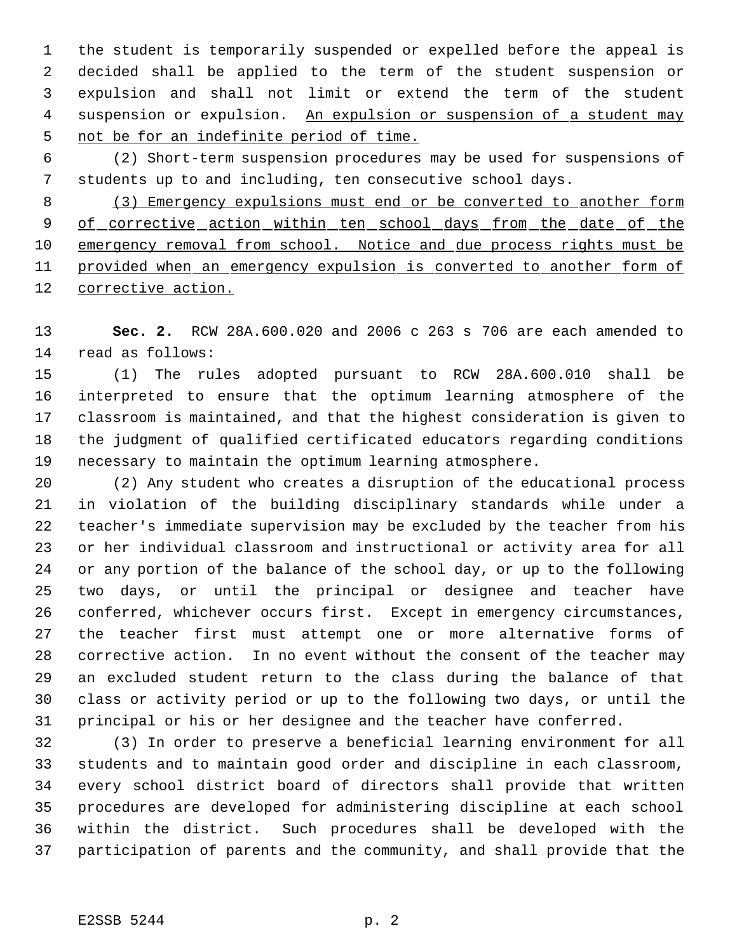the student is temporarily suspended or expelled before the appeal is decided shall be applied to the term of the student suspension or expulsion and shall not limit or extend the term of the student 4 suspension or expulsion. An expulsion or suspension of a student may not be for an indefinite period of time.

 (2) Short-term suspension procedures may be used for suspensions of students up to and including, ten consecutive school days.

 (3) Emergency expulsions must end or be converted to another form 9 of corrective action within ten school days from the date of the 10 emergency removal from school. Notice and due process rights must be 11 provided when an emergency expulsion is converted to another form of corrective action.

 **Sec. 2.** RCW 28A.600.020 and 2006 c 263 s 706 are each amended to read as follows:

 (1) The rules adopted pursuant to RCW 28A.600.010 shall be interpreted to ensure that the optimum learning atmosphere of the classroom is maintained, and that the highest consideration is given to the judgment of qualified certificated educators regarding conditions necessary to maintain the optimum learning atmosphere.

 (2) Any student who creates a disruption of the educational process in violation of the building disciplinary standards while under a teacher's immediate supervision may be excluded by the teacher from his or her individual classroom and instructional or activity area for all or any portion of the balance of the school day, or up to the following two days, or until the principal or designee and teacher have conferred, whichever occurs first. Except in emergency circumstances, the teacher first must attempt one or more alternative forms of corrective action. In no event without the consent of the teacher may an excluded student return to the class during the balance of that class or activity period or up to the following two days, or until the principal or his or her designee and the teacher have conferred.

 (3) In order to preserve a beneficial learning environment for all students and to maintain good order and discipline in each classroom, every school district board of directors shall provide that written procedures are developed for administering discipline at each school within the district. Such procedures shall be developed with the participation of parents and the community, and shall provide that the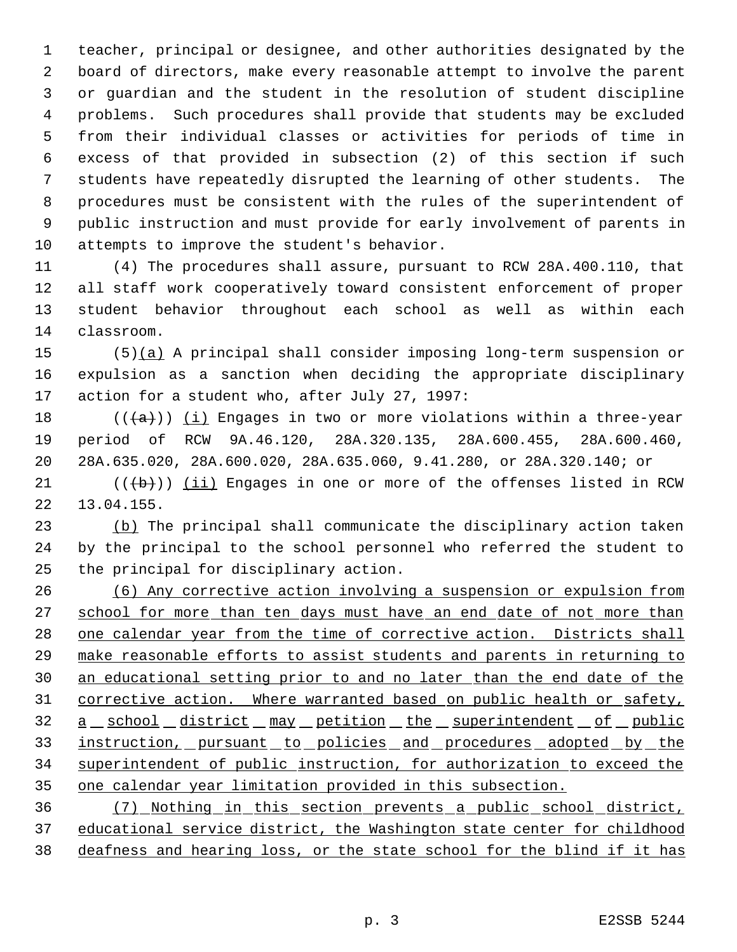teacher, principal or designee, and other authorities designated by the board of directors, make every reasonable attempt to involve the parent or guardian and the student in the resolution of student discipline problems. Such procedures shall provide that students may be excluded from their individual classes or activities for periods of time in excess of that provided in subsection (2) of this section if such students have repeatedly disrupted the learning of other students. The procedures must be consistent with the rules of the superintendent of public instruction and must provide for early involvement of parents in attempts to improve the student's behavior.

 (4) The procedures shall assure, pursuant to RCW 28A.400.110, that all staff work cooperatively toward consistent enforcement of proper student behavior throughout each school as well as within each classroom.

 (5)(a) A principal shall consider imposing long-term suspension or expulsion as a sanction when deciding the appropriate disciplinary action for a student who, after July 27, 1997:

18 ( $(\overline{a})$ ) (i) Engages in two or more violations within a three-year period of RCW 9A.46.120, 28A.320.135, 28A.600.455, 28A.600.460, 28A.635.020, 28A.600.020, 28A.635.060, 9.41.280, or 28A.320.140; or

 $((\{b\})$  (ii) Engages in one or more of the offenses listed in RCW 13.04.155.

23 (b) The principal shall communicate the disciplinary action taken by the principal to the school personnel who referred the student to the principal for disciplinary action.

 (6) Any corrective action involving a suspension or expulsion from 27 school for more than ten days must have an end date of not more than one calendar year from the time of corrective action. Districts shall make reasonable efforts to assist students and parents in returning to an educational setting prior to and no later than the end date of the corrective action. Where warranted based on public health or safety, 32 a school district may petition the superintendent of public 33 instruction, pursuant to policies and procedures adopted by the superintendent of public instruction, for authorization to exceed the one calendar year limitation provided in this subsection.

 (7) Nothing in this section prevents a public school district, educational service district, the Washington state center for childhood deafness and hearing loss, or the state school for the blind if it has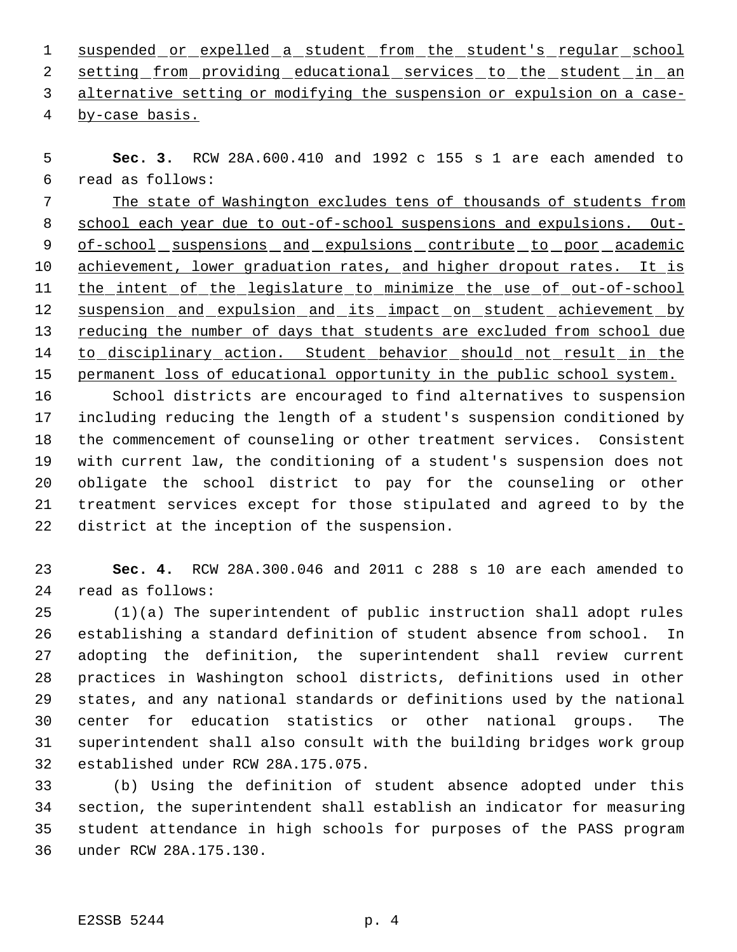1 suspended or expelled a student from the student's regular school 2 setting from providing educational services to the student in an alternative setting or modifying the suspension or expulsion on a case-

by-case basis.

 **Sec. 3.** RCW 28A.600.410 and 1992 c 155 s 1 are each amended to read as follows:

 The state of Washington excludes tens of thousands of students from 8 school each year due to out-of-school suspensions and expulsions. Out-9 of-school suspensions and expulsions contribute to poor academic 10 achievement, lower graduation rates, and higher dropout rates. It is 11 the intent of the legislature to minimize the use of out-of-school 12 suspension and expulsion and its impact on student achievement by reducing the number of days that students are excluded from school due 14 to disciplinary action. Student behavior should not result in the permanent loss of educational opportunity in the public school system.

 School districts are encouraged to find alternatives to suspension including reducing the length of a student's suspension conditioned by the commencement of counseling or other treatment services. Consistent with current law, the conditioning of a student's suspension does not obligate the school district to pay for the counseling or other treatment services except for those stipulated and agreed to by the district at the inception of the suspension.

 **Sec. 4.** RCW 28A.300.046 and 2011 c 288 s 10 are each amended to read as follows:

 (1)(a) The superintendent of public instruction shall adopt rules establishing a standard definition of student absence from school. In adopting the definition, the superintendent shall review current practices in Washington school districts, definitions used in other states, and any national standards or definitions used by the national center for education statistics or other national groups. The superintendent shall also consult with the building bridges work group established under RCW 28A.175.075.

 (b) Using the definition of student absence adopted under this section, the superintendent shall establish an indicator for measuring student attendance in high schools for purposes of the PASS program under RCW 28A.175.130.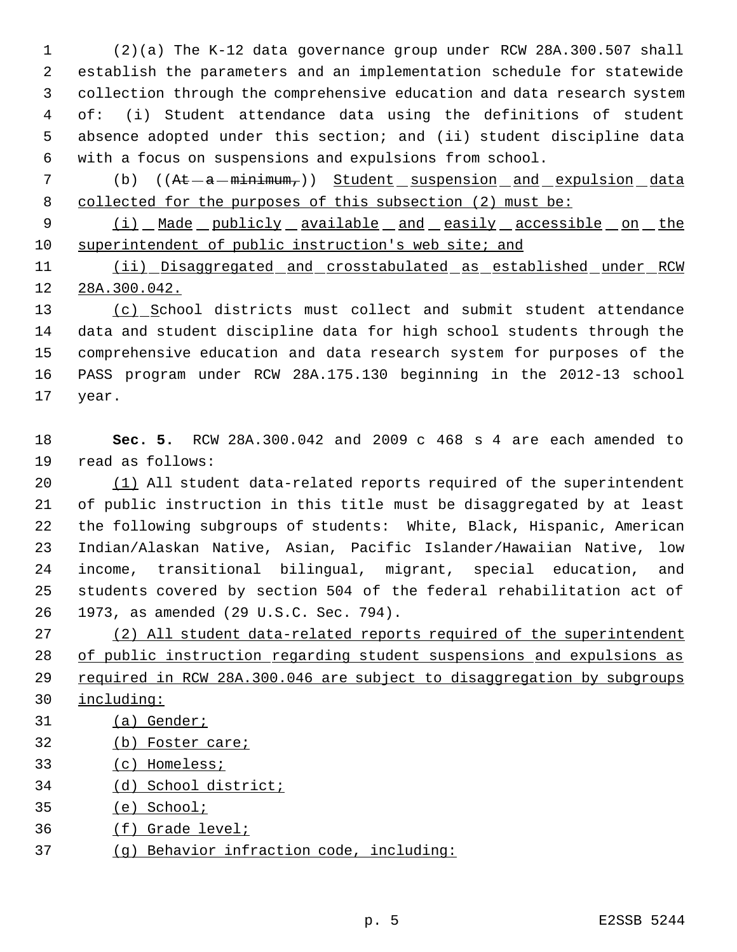(2)(a) The K-12 data governance group under RCW 28A.300.507 shall establish the parameters and an implementation schedule for statewide collection through the comprehensive education and data research system of: (i) Student attendance data using the definitions of student absence adopted under this section; and (ii) student discipline data with a focus on suspensions and expulsions from school.

7 (b) ((At - a - minimum,)) Student suspension and expulsion data 8 collected for the purposes of this subsection (2) must be:

9 (i) Made publicly available and easily accessible on the superintendent of public instruction's web site; and

11 (ii) Disaggregated and crosstabulated as established under RCW 28A.300.042.

13 (c) School districts must collect and submit student attendance data and student discipline data for high school students through the comprehensive education and data research system for purposes of the PASS program under RCW 28A.175.130 beginning in the 2012-13 school year.

 **Sec. 5.** RCW 28A.300.042 and 2009 c 468 s 4 are each amended to read as follows:

 (1) All student data-related reports required of the superintendent of public instruction in this title must be disaggregated by at least the following subgroups of students: White, Black, Hispanic, American Indian/Alaskan Native, Asian, Pacific Islander/Hawaiian Native, low income, transitional bilingual, migrant, special education, and students covered by section 504 of the federal rehabilitation act of 1973, as amended (29 U.S.C. Sec. 794).

 (2) All student data-related reports required of the superintendent of public instruction regarding student suspensions and expulsions as required in RCW 28A.300.046 are subject to disaggregation by subgroups

- including:
- (a) Gender;
- (b) Foster care;
- (c) Homeless;
- (d) School district;
- (e) School;
- (f) Grade level;
- (g) Behavior infraction code, including: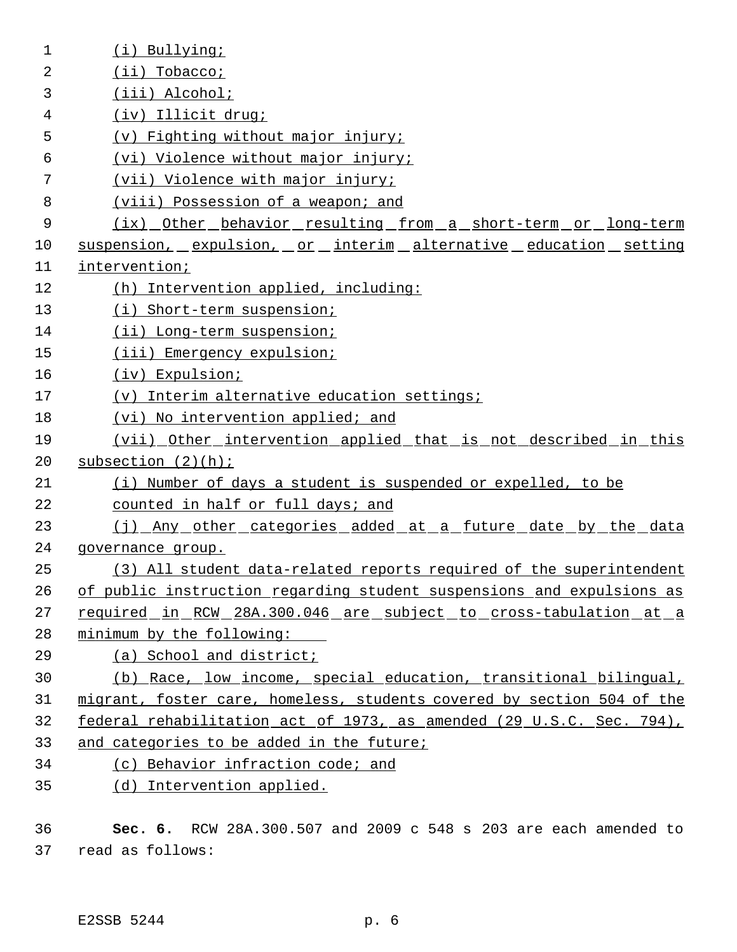| $\mathbf 1$ | (i) Bullying;                                                          |
|-------------|------------------------------------------------------------------------|
| 2           | $(ii)$ Tobacco;                                                        |
| 3           | (iii) Alcohol;                                                         |
| 4           | (iv) Illicit drug;                                                     |
| 5           | (v) Fighting without major injury;                                     |
| 6           | (vi) Violence without major injury;                                    |
| 7           | (vii) Violence with major injury;                                      |
| 8           | (viii) Possession of a weapon; and                                     |
| 9           | (ix) Other behavior resulting from a short-term or long-term           |
| 10          | suspension, expulsion, or interim alternative education setting        |
| 11          | intervention;                                                          |
| 12          | (h) Intervention applied, including:                                   |
| 13          | (i) Short-term suspension;                                             |
| 14          | (ii) Long-term suspension;                                             |
| 15          | (iii) Emergency expulsion;                                             |
| 16          | (iv) Expulsion;                                                        |
| 17          | (v) Interim alternative education settings;                            |
| 18          | (vi) No intervention applied; and                                      |
| 19          | (vii) Other intervention applied that is not described in this         |
| 20          | subsection $(2)(h)$ ;                                                  |
| 21          | (i) Number of days a student is suspended or expelled, to be           |
| 22          | counted in half or full days; and                                      |
| 23          | (j) Any other categories added at a future date by the data            |
| 24          | governance group.                                                      |
| 25          | (3) All student data-related reports required of the superintendent    |
| 26          | of public instruction regarding student suspensions and expulsions as  |
| 27          | required in RCW 28A.300.046 are subject to cross-tabulation at a       |
| 28          | minimum by the following:                                              |
| 29          | (a) School and district;                                               |
| 30          | (b) Race, low income, special education, transitional bilingual,       |
| 31          | migrant, foster care, homeless, students covered by section 504 of the |
| 32          | federal rehabilitation act of 1973, as amended (29 U.S.C. Sec. 794),   |
| 33          | and categories to be added in the future;                              |
| 34          | (c) Behavior infraction code; and                                      |
| 35          | (d) Intervention applied.                                              |
|             |                                                                        |

36 **Sec. 6.** RCW 28A.300.507 and 2009 c 548 s 203 are each amended to 37 read as follows: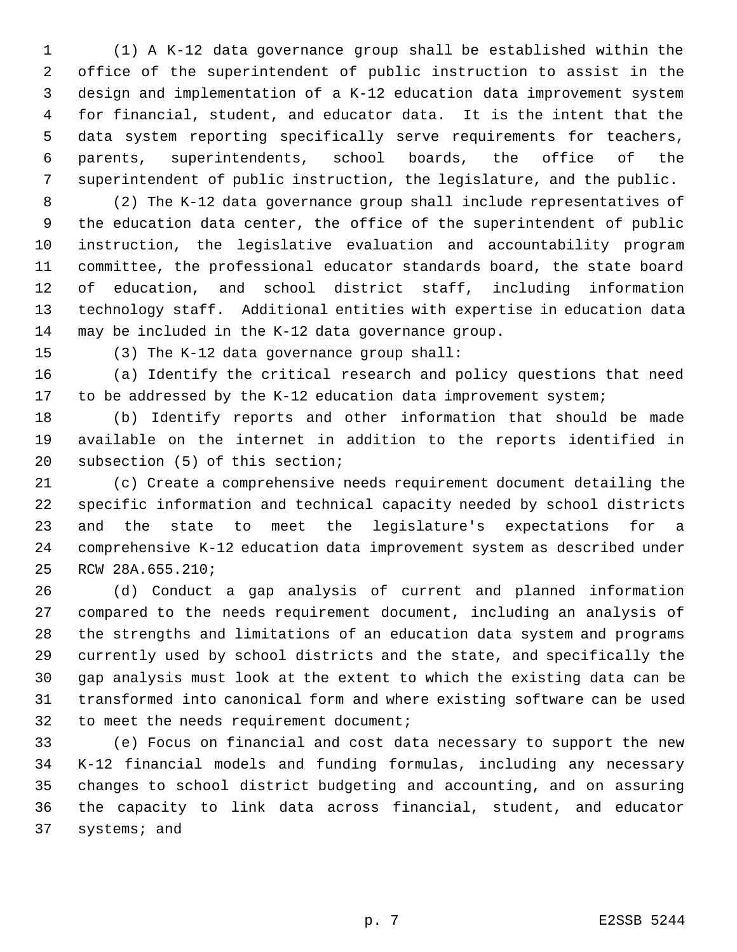(1) A K-12 data governance group shall be established within the office of the superintendent of public instruction to assist in the design and implementation of a K-12 education data improvement system for financial, student, and educator data. It is the intent that the data system reporting specifically serve requirements for teachers, parents, superintendents, school boards, the office of the superintendent of public instruction, the legislature, and the public.

 (2) The K-12 data governance group shall include representatives of the education data center, the office of the superintendent of public instruction, the legislative evaluation and accountability program committee, the professional educator standards board, the state board of education, and school district staff, including information technology staff. Additional entities with expertise in education data may be included in the K-12 data governance group.

(3) The K-12 data governance group shall:

 (a) Identify the critical research and policy questions that need to be addressed by the K-12 education data improvement system;

 (b) Identify reports and other information that should be made available on the internet in addition to the reports identified in subsection (5) of this section;

 (c) Create a comprehensive needs requirement document detailing the specific information and technical capacity needed by school districts and the state to meet the legislature's expectations for a comprehensive K-12 education data improvement system as described under RCW 28A.655.210;

 (d) Conduct a gap analysis of current and planned information compared to the needs requirement document, including an analysis of the strengths and limitations of an education data system and programs currently used by school districts and the state, and specifically the gap analysis must look at the extent to which the existing data can be transformed into canonical form and where existing software can be used to meet the needs requirement document;

 (e) Focus on financial and cost data necessary to support the new K-12 financial models and funding formulas, including any necessary changes to school district budgeting and accounting, and on assuring the capacity to link data across financial, student, and educator systems; and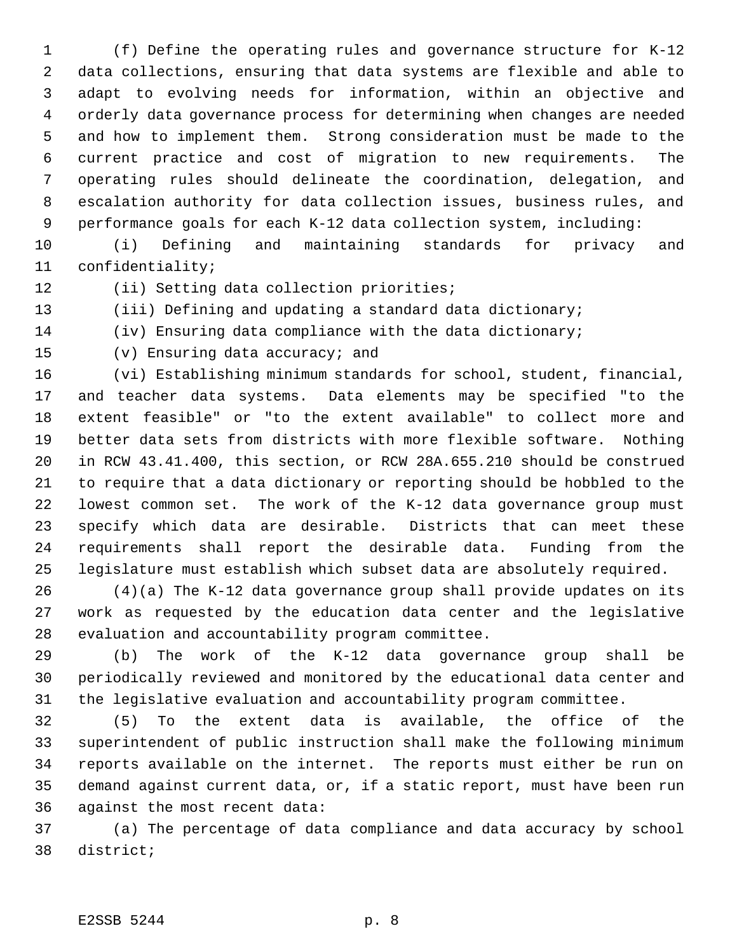(f) Define the operating rules and governance structure for K-12 data collections, ensuring that data systems are flexible and able to adapt to evolving needs for information, within an objective and orderly data governance process for determining when changes are needed and how to implement them. Strong consideration must be made to the current practice and cost of migration to new requirements. The operating rules should delineate the coordination, delegation, and escalation authority for data collection issues, business rules, and performance goals for each K-12 data collection system, including:

 (i) Defining and maintaining standards for privacy and confidentiality;

12 (ii) Setting data collection priorities;

(iii) Defining and updating a standard data dictionary;

(iv) Ensuring data compliance with the data dictionary;

(v) Ensuring data accuracy; and

 (vi) Establishing minimum standards for school, student, financial, and teacher data systems. Data elements may be specified "to the extent feasible" or "to the extent available" to collect more and better data sets from districts with more flexible software. Nothing in RCW 43.41.400, this section, or RCW 28A.655.210 should be construed to require that a data dictionary or reporting should be hobbled to the lowest common set. The work of the K-12 data governance group must specify which data are desirable. Districts that can meet these requirements shall report the desirable data. Funding from the legislature must establish which subset data are absolutely required.

 (4)(a) The K-12 data governance group shall provide updates on its work as requested by the education data center and the legislative evaluation and accountability program committee.

 (b) The work of the K-12 data governance group shall be periodically reviewed and monitored by the educational data center and the legislative evaluation and accountability program committee.

 (5) To the extent data is available, the office of the superintendent of public instruction shall make the following minimum reports available on the internet. The reports must either be run on demand against current data, or, if a static report, must have been run against the most recent data:

 (a) The percentage of data compliance and data accuracy by school district;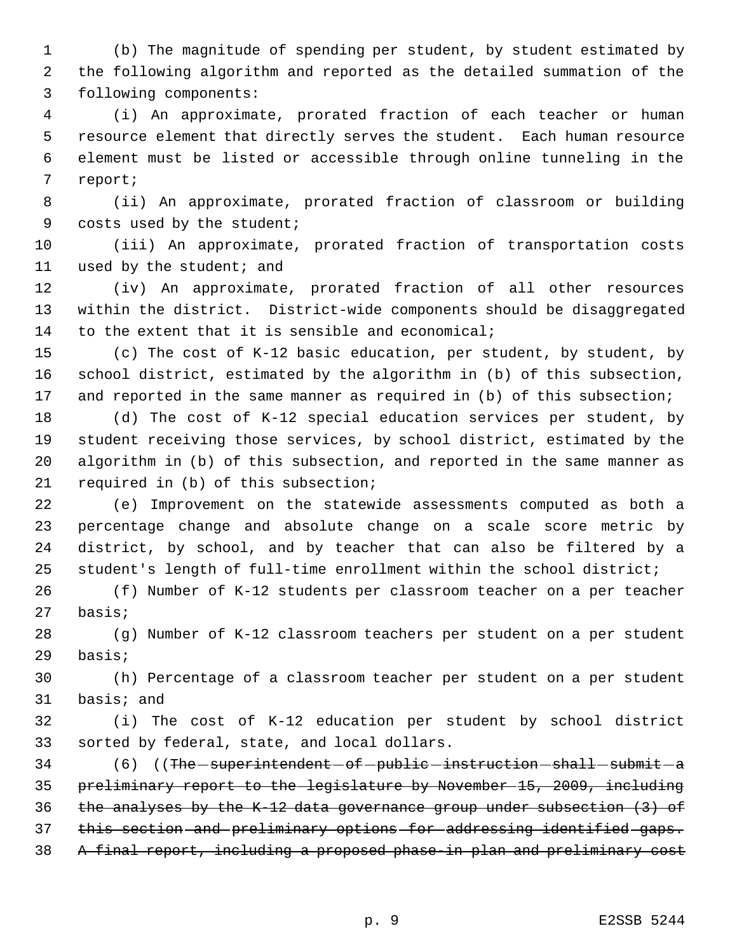(b) The magnitude of spending per student, by student estimated by the following algorithm and reported as the detailed summation of the following components:

 (i) An approximate, prorated fraction of each teacher or human resource element that directly serves the student. Each human resource element must be listed or accessible through online tunneling in the report;

 (ii) An approximate, prorated fraction of classroom or building 9 costs used by the student;

 (iii) An approximate, prorated fraction of transportation costs used by the student; and

 (iv) An approximate, prorated fraction of all other resources within the district. District-wide components should be disaggregated to the extent that it is sensible and economical;

 (c) The cost of K-12 basic education, per student, by student, by school district, estimated by the algorithm in (b) of this subsection, 17 and reported in the same manner as required in (b) of this subsection;

 (d) The cost of K-12 special education services per student, by student receiving those services, by school district, estimated by the algorithm in (b) of this subsection, and reported in the same manner as required in (b) of this subsection;

 (e) Improvement on the statewide assessments computed as both a percentage change and absolute change on a scale score metric by district, by school, and by teacher that can also be filtered by a student's length of full-time enrollment within the school district;

 (f) Number of K-12 students per classroom teacher on a per teacher basis;

 (g) Number of K-12 classroom teachers per student on a per student basis;

 (h) Percentage of a classroom teacher per student on a per student basis; and

 (i) The cost of K-12 education per student by school district sorted by federal, state, and local dollars.

34 (6) ((The - superintendent - of - public - instruction - shall - submit - a preliminary report to the legislature by November 15, 2009, including the analyses by the K-12 data governance group under subsection (3) of this section and preliminary options for addressing identified gaps. A final report, including a proposed phase-in plan and preliminary cost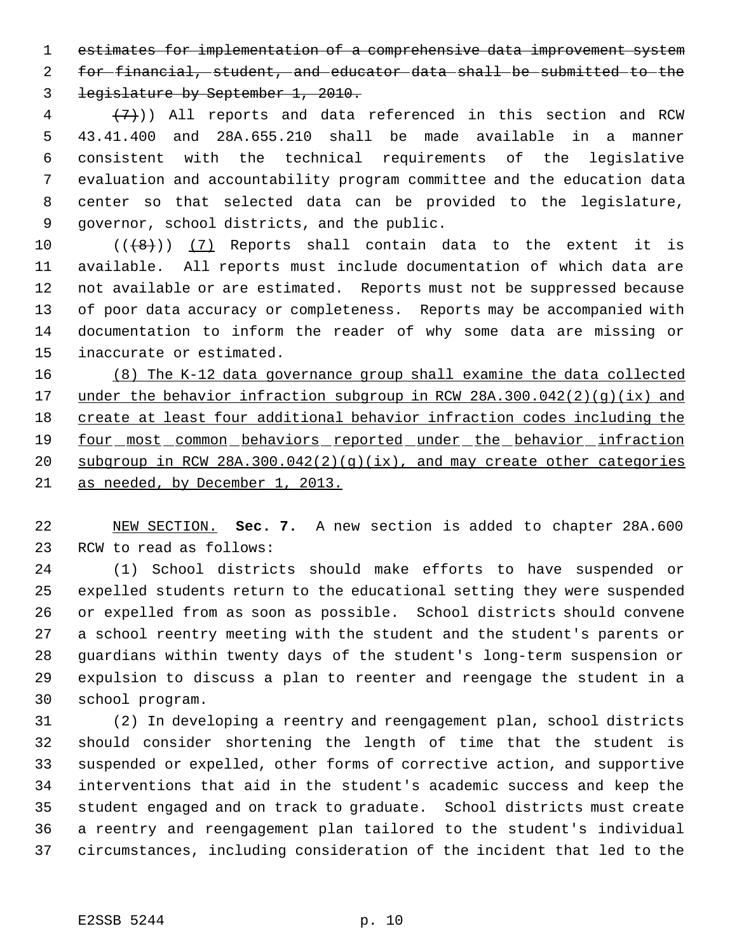estimates for implementation of a comprehensive data improvement system for financial, student, and educator data shall be submitted to the

legislature by September 1, 2010.

 $(4 + (7))$ ) All reports and data referenced in this section and RCW 43.41.400 and 28A.655.210 shall be made available in a manner consistent with the technical requirements of the legislative evaluation and accountability program committee and the education data center so that selected data can be provided to the legislature, governor, school districts, and the public.

 $((\{8\})$  (7) Reports shall contain data to the extent it is available. All reports must include documentation of which data are not available or are estimated. Reports must not be suppressed because of poor data accuracy or completeness. Reports may be accompanied with documentation to inform the reader of why some data are missing or inaccurate or estimated.

 (8) The K-12 data governance group shall examine the data collected 17 under the behavior infraction subgroup in RCW 28A.300.042(2)(g)(ix) and create at least four additional behavior infraction codes including the 19 four most common behaviors reported under the behavior infraction subgroup in RCW 28A.300.042(2)(g)(ix), and may create other categories as needed, by December 1, 2013.

 NEW SECTION. **Sec. 7.** A new section is added to chapter 28A.600 RCW to read as follows:

 (1) School districts should make efforts to have suspended or expelled students return to the educational setting they were suspended or expelled from as soon as possible. School districts should convene a school reentry meeting with the student and the student's parents or guardians within twenty days of the student's long-term suspension or expulsion to discuss a plan to reenter and reengage the student in a school program.

 (2) In developing a reentry and reengagement plan, school districts should consider shortening the length of time that the student is suspended or expelled, other forms of corrective action, and supportive interventions that aid in the student's academic success and keep the student engaged and on track to graduate. School districts must create a reentry and reengagement plan tailored to the student's individual circumstances, including consideration of the incident that led to the